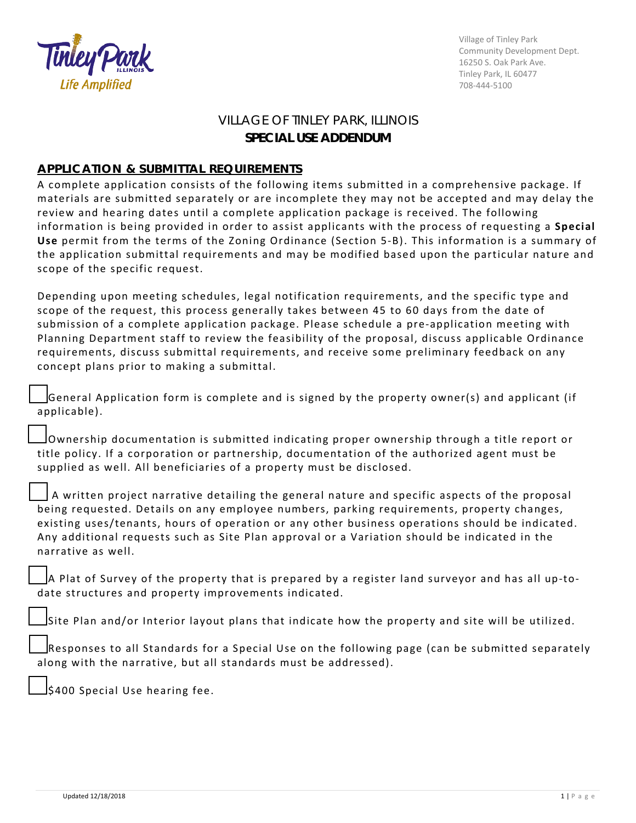

Village of Tinley Park Community Development Dept. 16250 S. Oak Park Ave. Tinley Park, IL 60477 708-444-5100

## VILLAGE OF TINLEY PARK, ILLINOIS **SPECIAL USE ADDENDUM**

## **APPLICATION & SUBMITTAL REQUIREMENTS**

A complete application consists of the following items submitted in a comprehensive package. If materials are submitted separately or are incomplete they may not be accepted and may delay the review and hearing dates until a complete application package is received. The following information is being provided in order to assist applicants with the process of requesting a **Special Use** permit from the terms of the Zoning Ordinance (Section 5-B). This information is a summary of the application submittal requirements and may be modified based upon the particular nature and scope of the specific request.

Depending upon meeting schedules, legal notification requirements, and the specific type and scope of the request, this process generally takes between 45 to 60 days from the date of submission of a complete application package. Please schedule a pre-application meeting with Planning Department staff to review the feasibility of the proposal, discuss applicable Ordinance requirements, discuss submittal requirements, and receive some preliminary feedback on any concept plans prior to making a submittal.

☐General Application form is complete and is signed by the property owner(s) and applicant (if applicable).

☐Ownership documentation is submitted indicating proper ownership through a title report or title policy. If a corporation or partnership, documentation of the authorized agent must be supplied as well. All beneficiaries of a property must be disclosed.

A written project narrative detailing the general nature and specific aspects of the proposal being requested. Details on any employee numbers, parking requirements, property changes, existing uses/tenants, hours of operation or any other business operations should be indicated. Any additional requests such as Site Plan approval or a Variation should be indicated in the narrative as well.

☐A Plat of Survey of the property that is prepared by a register land surveyor and has all up-todate structures and property improvements indicated.

Site Plan and/or Interior layout plans that indicate how the property and site will be utilized.

Responses to all Standards for a Special Use on the following page (can be submitted separately along with the narrative, but all standards must be addressed).

☐\$400 Special Use hearing fee.